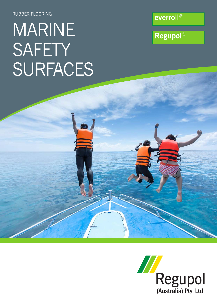RUBBER FLOORING

## MARINE SAFETY SURFACES

**Regupol®** 

everroll®